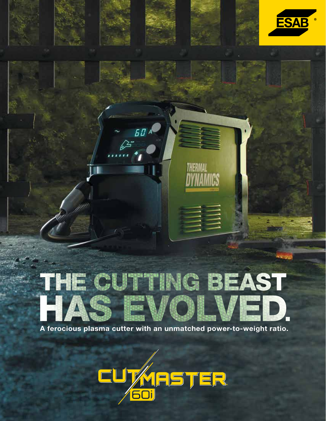

# HE CUTTING BEAST e presidente<br>Español

THERMAL

 $50A$ 

**Continued** 

A ferocious plasma cutter with an unmatched power-to-weight ratio.

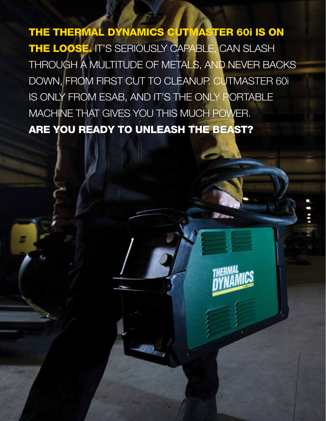THE THERMAL DYNAMICS CUTMASTER 60i IS ON THE LOOSE. IT'S SERIOUSLY CAPABLE, CAN SLASH THROUGH A MULTITUDE OF METALS, AND NEVER BACKS DOWN, FROM FIRST CUT TO CLEANUP. CUTMASTER 60i IS ONLY FROM ESAB, AND IT'S THE ONLY PORTABLE MACHINE THAT GIVES YOU THIS MUCH POWER. ARE YOU READY TO UNLEASH THE BEAST?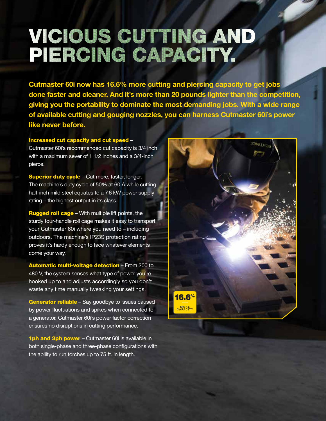### VICIOUS CUTTING AND PIERCING CAPACITY.

Cutmaster 60i now has 16.6% more cutting and piercing capacity to get jobs done faster and cleaner. And it's more than 20 pounds lighter than the competition, giving you the portability to dominate the most demanding jobs. With a wide range of available cutting and gouging nozzles, you can harness Cutmaster 60i's power like never before.

#### Increased cut capacity and cut speed – Cutmaster 60i's recommended cut capacity is 3/4 inch

with a maximum sever of 1 1/2 inches and a 3/4-inch pierce.

Superior duty cycle - Cut more, faster, longer. The machine's duty cycle of 50% at 60 A while cutting half-inch mild steel equates to a 7.6 kW power supply rating – the highest output in its class.

**Rugged roll cage** – With multiple lift points, the sturdy four-handle roll cage makes it easy to transport your Cutmaster 60i where you need to – including outdoors. The machine's IP23S protection rating proves it's hardy enough to face whatever elements come your way.

Automatic multi-voltage detection – From 200 to 480 V, the system senses what type of power you're hooked up to and adjusts accordingly so you don't waste any time manually tweaking your settings.

Generator reliable - Say goodbye to issues caused by power fluctuations and spikes when connected to a generator. Cutmaster 60i's power factor correction ensures no disruptions in cutting performance.

1ph and 3ph power – Cutmaster 60i is available in both single-phase and three-phase configurations with the ability to run torches up to 75 ft. in length.

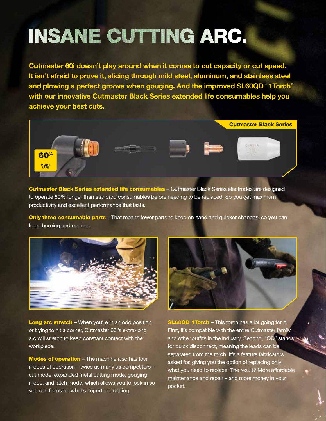# INSANE CUTTING ARC.

Cutmaster 60i doesn't play around when it comes to cut capacity or cut speed. It isn't afraid to prove it, slicing through mild steel, aluminum, and stainless steel and plowing a perfect groove when gouging. And the improved SL60QD™ 1Torch® with our innovative Cutmaster Black Series extended life consumables help you achieve your best cuts.



Cutmaster Black Series extended life consumables – Cutmaster Black Series electrodes are designed to operate 60% longer than standard consumables before needing to be replaced. So you get maximum productivity and excellent performance that lasts.

**Only three consumable parts – That means fewer parts to keep on hand and quicker changes, so you can** keep burning and earning.



Long arc stretch – When you're in an odd position or trying to hit a corner, Cutmaster 60i's extra-long arc will stretch to keep constant contact with the workpiece.

Modes of operation - The machine also has four modes of operation – twice as many as competitors – cut mode, expanded metal cutting mode, gouging mode, and latch mode, which allows you to lock in so you can focus on what's important: cutting.



**SL60QD 1Torch** – This torch has a lot going for it. First, it's compatible with the entire Cutmaster family and other outfits in the industry. Second, "QD" stands for quick disconnect, meaning the leads can be separated from the torch. It's a feature fabricators asked for, giving you the option of replacing only what you need to replace. The result? More affordable maintenance and repair – and more money in your pocket.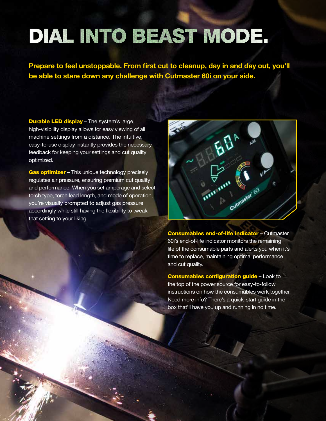## DIAL INTO BEAST MODE.

Prepare to feel unstoppable. From first cut to cleanup, day in and day out, you'll be able to stare down any challenge with Cutmaster 60i on your side.

**Durable LED display** – The system's large, high-visibility display allows for easy viewing of all machine settings from a distance. The intuitive, easy-to-use display instantly provides the necessary feedback for keeping your settings and cut quality optimized.

Gas optimizer - This unique technology precisely regulates air pressure, ensuring premium cut quality and performance. When you set amperage and select torch type, torch lead length, and mode of operation, you're visually prompted to adjust gas pressure accordingly while still having the flexibility to tweak that setting to your liking.



Consumables end-of-life indicator – Cutmaster 60i's end-of-life indicator monitors the remaining life of the consumable parts and alerts you when it's time to replace, maintaining optimal performance and cut quality.

Consumables configuration guide – Look to the top of the power source for easy-to-follow instructions on how the consumables work together. Need more info? There's a quick-start guide in the box that'll have you up and running in no time.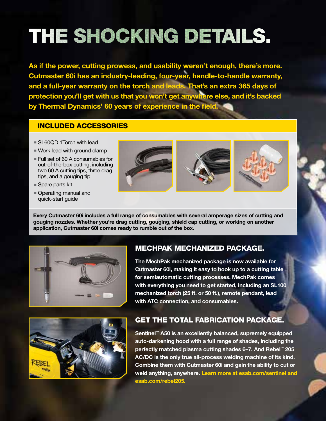# THE SHOCKING DETAILS.

As if the power, cutting prowess, and usability weren't enough, there's more. Cutmaster 60i has an industry-leading, four-year, handle-to-handle warranty, and a full-year warranty on the torch and leads. That's an extra 365 days of protection you'll get with us that you won't get anywhere else, and it's backed by Thermal Dynamics' 60 years of experience in the field.

#### INCLUDED ACCESSORIES

- SL60QD 1Torch with lead
- **Work lead with ground clamp**
- Full set of 60 A consumables for out-of-the-box cutting, including two 60 A cutting tips, three drag tips, and a gouging tip
- Spare parts kit
- **Operating manual and** quick-start guide





Every Cutmaster 60i includes a full range of consumables with several amperage sizes of cutting and gouging nozzles. Whether you're drag cutting, gouging, shield cap cutting, or working on another application, Cutmaster 60i comes ready to rumble out of the box.



#### MECHPAK MECHANIZED PACKAGE.

The MechPak mechanized package is now available for Cutmaster 60i, making it easy to hook up to a cutting table for semiautomatic cutting processes. MechPak comes with everything you need to get started, including an SL100 mechanized torch (25 ft. or 50 ft.), remote pendant, lead with ATC connection, and consumables.



#### GET THE TOTAL FABRICATION PACKAGE.

Sentinel<sup>™</sup> A50 is an excellently balanced, supremely equipped auto-darkening hood with a full range of shades, including the perfectly matched plasma cutting shades 6–7. And Rebel™ 205 AC/DC is the only true all-process welding machine of its kind. Combine them with Cutmaster 60i and gain the ability to cut or weld anything, anywhere. Learn more at esab.com/sentinel and esab.com/rebel205.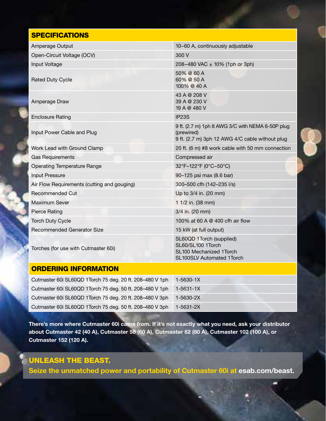| <b>SPECIFICATIONS</b>                       |                                                                                                                   |
|---------------------------------------------|-------------------------------------------------------------------------------------------------------------------|
| Amperage Output                             | 10-60 A, continuously adjustable                                                                                  |
| Open-Circuit Voltage (OCV)                  | 300 V                                                                                                             |
| Input Voltage                               | 208-480 VAC ± 10% (1ph or 3ph)                                                                                    |
| <b>Rated Duty Cycle</b>                     | 50% @ 60 A<br>60% @ 50 A<br>100% @ 40 A                                                                           |
| Amperage Draw                               | 43 A @ 208 V<br>39 A @ 230 V<br>19 A @ 480 V                                                                      |
| <b>Enclosure Rating</b>                     | IP <sub>23</sub> S                                                                                                |
| Input Power Cable and Plug                  | 9 ft. (2.7 m) 1ph 8 AWG 3/C with NEMA 6-50P plug<br>(prewired)<br>9 ft. (2.7 m) 3ph 12 AWG 4/C cable without plug |
| Work Lead with Ground Clamp                 | 20 ft. (6 m) #8 work cable with 50 mm connection                                                                  |
| <b>Gas Requirements</b>                     | Compressed air                                                                                                    |
| <b>Operating Temperature Range</b>          | 32°F-122°F (0°C-50°C)                                                                                             |
| Input Pressure                              | 90-125 psi max (8.6 bar)                                                                                          |
| Air Flow Requirements (cutting and gouging) | 300-500 cfh (142-235 l/s)                                                                                         |
| <b>Recommended Cut</b>                      | Up to 3/4 in. (20 mm)                                                                                             |
| <b>Maximum Sever</b>                        | 1 1/2 in. (38 mm)                                                                                                 |
| <b>Pierce Rating</b>                        | 3/4 in. (20 mm)                                                                                                   |
| <b>Torch Duty Cycle</b>                     | 100% at 60 A @ 400 cfh air flow                                                                                   |
| Recommended Generator Size                  | 15 kW (at full output)                                                                                            |
| Torches (for use with Cutmaster 60i)        | SL60QD 1Torch (supplied)<br>SL60/SL100 1Torch<br>SL100 Mechanized 1Torch<br><b>SL100SLV Automated 1Torch</b>      |
| <b>ORDERING INFORMATION</b>                 |                                                                                                                   |

#### ORDERING INFORMATION

| Cutmaster 60i SL60QD 1Torch 75 deg. 20 ft. 208-480 V 1ph | $1 - 5630 - 1X$ |
|----------------------------------------------------------|-----------------|
| Cutmaster 60i SL60QD 1Torch 75 deg. 50 ft. 208-480 V 1ph | $1 - 5631 - 1X$ |
| Cutmaster 60i SL60QD 1Torch 75 deg. 20 ft. 208-480 V 3ph | 1-5630-2X       |
| Cutmaster 60i SL60QD 1Torch 75 deg. 50 ft. 208-480 V 3ph | 1-5631-2X       |

There's more where Cutmaster 60i came from. If it's not exactly what you need, ask your distributor about Cutmaster 42 (40 A), Cutmaster 58 (60 A), Cutmaster 82 (80 A), Cutmaster 102 (100 A), or Cutmaster 152 (120 A).

#### UNLEASH THE BEAST.

Seize the unmatched power and portability of Cutmaster 60i at esab.com/beast.